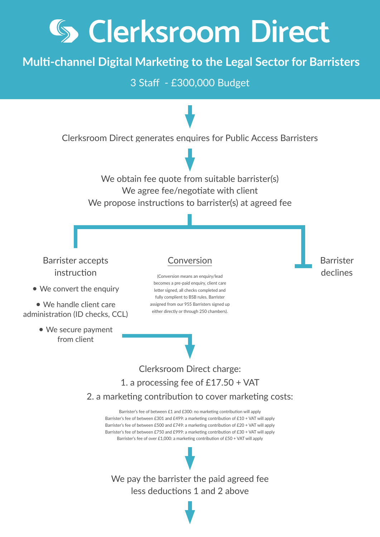## **5 Clerksroom Direct**

## **Multi-channel Digital Marketing to the Legal Sector for Barristers**

3 Staff - £300,000 Budget

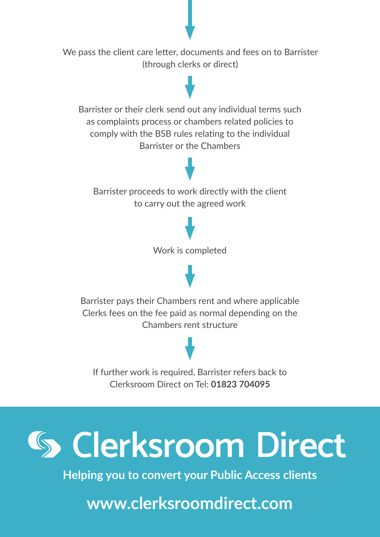



**Helping you to convert your Public Access clients**

**www.clerksroomdirect.com**